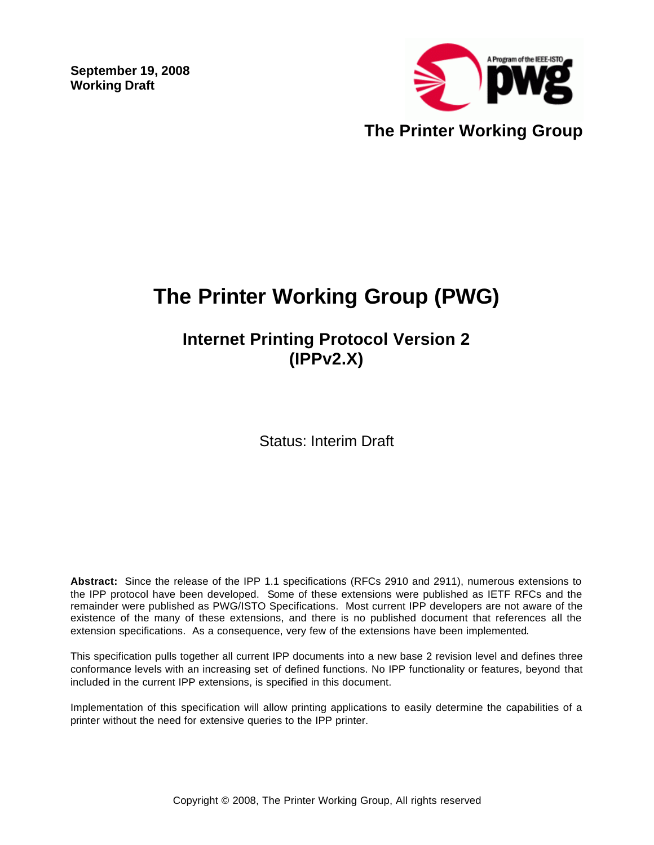**September 19, 2008 Working Draft** 



# **The Printer Working Group (PWG)**

# **Internet Printing Protocol Version 2 (IPPv2.X)**

Status: Interim Draft

**Abstract:** Since the release of the IPP 1.1 specifications (RFCs 2910 and 2911), numerous extensions to the IPP protocol have been developed. Some of these extensions were published as IETF RFCs and the remainder were published as PWG/ISTO Specifications. Most current IPP developers are not aware of the existence of the many of these extensions, and there is no published document that references all the extension specifications. As a consequence, very few of the extensions have been implemented.

This specification pulls together all current IPP documents into a new base 2 revision level and defines three conformance levels with an increasing set of defined functions. No IPP functionality or features, beyond that included in the current IPP extensions, is specified in this document.

Implementation of this specification will allow printing applications to easily determine the capabilities of a printer without the need for extensive queries to the IPP printer.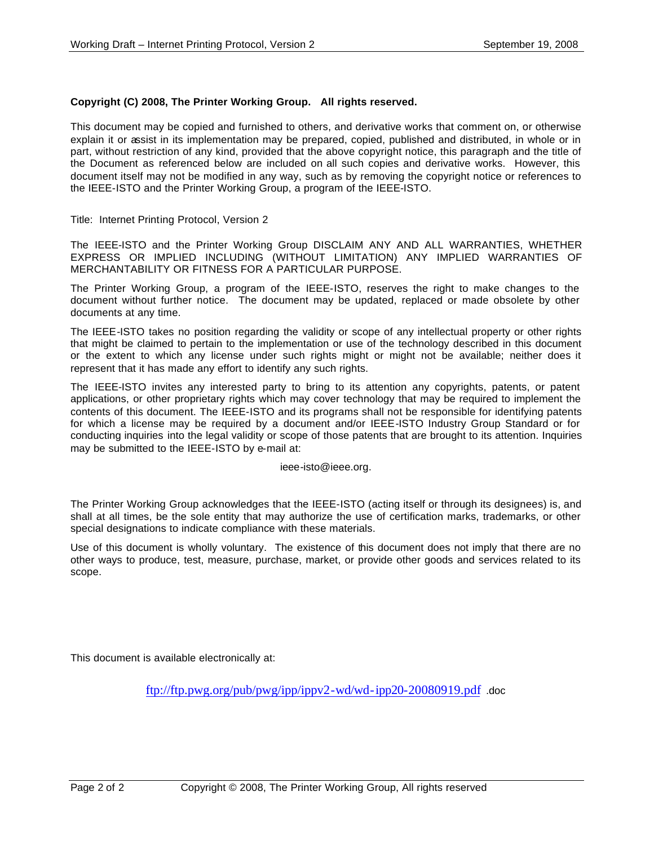#### **Copyright (C) 2008, The Printer Working Group. All rights reserved.**

This document may be copied and furnished to others, and derivative works that comment on, or otherwise explain it or assist in its implementation may be prepared, copied, published and distributed, in whole or in part, without restriction of any kind, provided that the above copyright notice, this paragraph and the title of the Document as referenced below are included on all such copies and derivative works. However, this document itself may not be modified in any way, such as by removing the copyright notice or references to the IEEE-ISTO and the Printer Working Group, a program of the IEEE-ISTO.

Title: Internet Printing Protocol, Version 2

The IEEE-ISTO and the Printer Working Group DISCLAIM ANY AND ALL WARRANTIES, WHETHER EXPRESS OR IMPLIED INCLUDING (WITHOUT LIMITATION) ANY IMPLIED WARRANTIES OF MERCHANTABILITY OR FITNESS FOR A PARTICULAR PURPOSE.

The Printer Working Group, a program of the IEEE-ISTO, reserves the right to make changes to the document without further notice. The document may be updated, replaced or made obsolete by other documents at any time.

The IEEE-ISTO takes no position regarding the validity or scope of any intellectual property or other rights that might be claimed to pertain to the implementation or use of the technology described in this document or the extent to which any license under such rights might or might not be available; neither does it represent that it has made any effort to identify any such rights.

The IEEE-ISTO invites any interested party to bring to its attention any copyrights, patents, or patent applications, or other proprietary rights which may cover technology that may be required to implement the contents of this document. The IEEE-ISTO and its programs shall not be responsible for identifying patents for which a license may be required by a document and/or IEEE-ISTO Industry Group Standard or for conducting inquiries into the legal validity or scope of those patents that are brought to its attention. Inquiries may be submitted to the IEEE-ISTO by e-mail at:

ieee-isto@ieee.org.

The Printer Working Group acknowledges that the IEEE-ISTO (acting itself or through its designees) is, and shall at all times, be the sole entity that may authorize the use of certification marks, trademarks, or other special designations to indicate compliance with these materials.

Use of this document is wholly voluntary. The existence of this document does not imply that there are no other ways to produce, test, measure, purchase, market, or provide other goods and services related to its scope.

This document is available electronically at:

ftp://ftp.pwg.org/pub/pwg/ipp/ippv2-wd/wd-ipp20-20080919.pdf .doc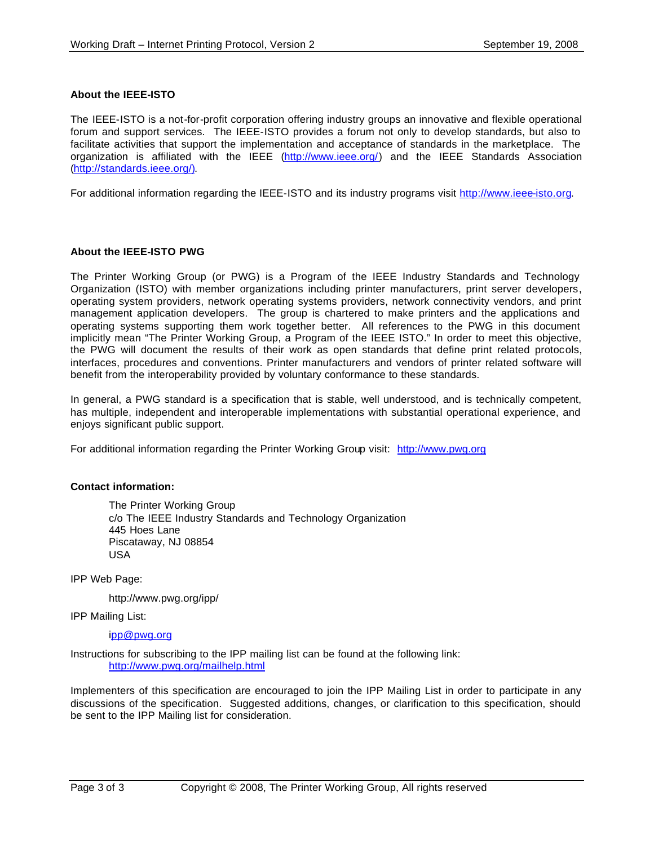#### **About the IEEE-ISTO**

The IEEE-ISTO is a not-for-profit corporation offering industry groups an innovative and flexible operational forum and support services. The IEEE-ISTO provides a forum not only to develop standards, but also to facilitate activities that support the implementation and acceptance of standards in the marketplace. The organization is affiliated with the IEEE (http://www.ieee.org/) and the IEEE Standards Association (http://standards.ieee.org/).

For additional information regarding the IEEE-ISTO and its industry programs visit http://www.ieee-isto.org.

#### **About the IEEE-ISTO PWG**

The Printer Working Group (or PWG) is a Program of the IEEE Industry Standards and Technology Organization (ISTO) with member organizations including printer manufacturers, print server developers, operating system providers, network operating systems providers, network connectivity vendors, and print management application developers. The group is chartered to make printers and the applications and operating systems supporting them work together better. All references to the PWG in this document implicitly mean "The Printer Working Group, a Program of the IEEE ISTO." In order to meet this objective, the PWG will document the results of their work as open standards that define print related protocols, interfaces, procedures and conventions. Printer manufacturers and vendors of printer related software will benefit from the interoperability provided by voluntary conformance to these standards.

In general, a PWG standard is a specification that is stable, well understood, and is technically competent, has multiple, independent and interoperable implementations with substantial operational experience, and enjoys significant public support.

For additional information regarding the Printer Working Group visit: http://www.pwg.org

#### **Contact information:**

The Printer Working Group c/o The IEEE Industry Standards and Technology Organization 445 Hoes Lane Piscataway, NJ 08854 USA

IPP Web Page:

http://www.pwg.org/ipp/

IPP Mailing List:

ipp@pwg.org

Instructions for subscribing to the IPP mailing list can be found at the following link: http://www.pwg.org/mailhelp.html

Implementers of this specification are encouraged to join the IPP Mailing List in order to participate in any discussions of the specification. Suggested additions, changes, or clarification to this specification, should be sent to the IPP Mailing list for consideration.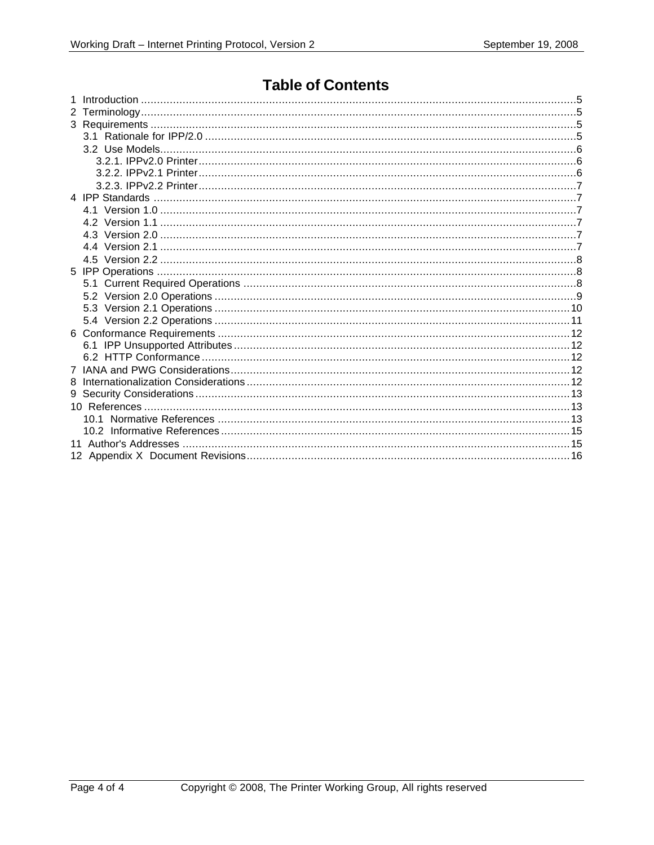# **Table of Contents**

| 8 |   |  |  |
|---|---|--|--|
|   | 9 |  |  |
|   |   |  |  |
|   |   |  |  |
|   |   |  |  |
|   |   |  |  |
|   |   |  |  |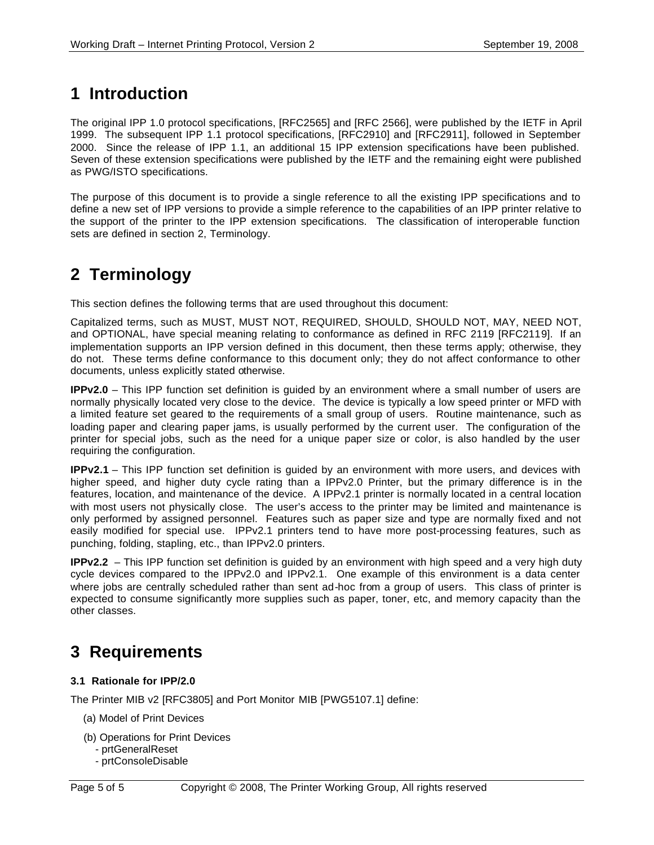# **1 Introduction**

The original IPP 1.0 protocol specifications, [RFC2565] and [RFC 2566], were published by the IETF in April 1999. The subsequent IPP 1.1 protocol specifications, [RFC2910] and [RFC2911], followed in September 2000. Since the release of IPP 1.1, an additional 15 IPP extension specifications have been published. Seven of these extension specifications were published by the IETF and the remaining eight were published as PWG/ISTO specifications.

The purpose of this document is to provide a single reference to all the existing IPP specifications and to define a new set of IPP versions to provide a simple reference to the capabilities of an IPP printer relative to the support of the printer to the IPP extension specifications. The classification of interoperable function sets are defined in section 2, Terminology.

# **2 Terminology**

This section defines the following terms that are used throughout this document:

Capitalized terms, such as MUST, MUST NOT, REQUIRED, SHOULD, SHOULD NOT, MAY, NEED NOT, and OPTIONAL, have special meaning relating to conformance as defined in RFC 2119 [RFC2119]. If an implementation supports an IPP version defined in this document, then these terms apply; otherwise, they do not. These terms define conformance to this document only; they do not affect conformance to other documents, unless explicitly stated otherwise.

**IPPv2.0** – This IPP function set definition is guided by an environment where a small number of users are normally physically located very close to the device. The device is typically a low speed printer or MFD with a limited feature set geared to the requirements of a small group of users. Routine maintenance, such as loading paper and clearing paper jams, is usually performed by the current user. The configuration of the printer for special jobs, such as the need for a unique paper size or color, is also handled by the user requiring the configuration.

**IPPv2.1** – This IPP function set definition is guided by an environment with more users, and devices with higher speed, and higher duty cycle rating than a IPPv2.0 Printer, but the primary difference is in the features, location, and maintenance of the device. A IPPv2.1 printer is normally located in a central location with most users not physically close. The user's access to the printer may be limited and maintenance is only performed by assigned personnel. Features such as paper size and type are normally fixed and not easily modified for special use. IPPv2.1 printers tend to have more post-processing features, such as punching, folding, stapling, etc., than IPPv2.0 printers.

**IPPv2.2** – This IPP function set definition is guided by an environment with high speed and a very high duty cycle devices compared to the IPPv2.0 and IPPv2.1. One example of this environment is a data center where jobs are centrally scheduled rather than sent ad-hoc from a group of users. This class of printer is expected to consume significantly more supplies such as paper, toner, etc, and memory capacity than the other classes.

# **3 Requirements**

### **3.1 Rationale for IPP/2.0**

The Printer MIB v2 [RFC3805] and Port Monitor MIB [PWG5107.1] define:

- (a) Model of Print Devices
- (b) Operations for Print Devices
	- prtGeneralReset
	- prtConsoleDisable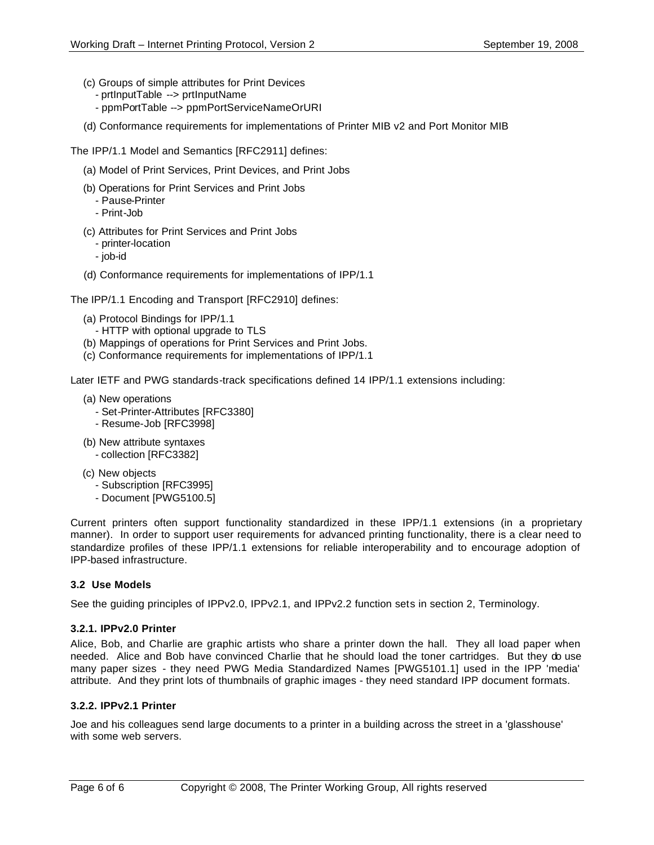- (c) Groups of simple attributes for Print Devices
	- prtInputTable --> prtInputName
	- ppmPortTable --> ppmPortServiceNameOrURI
- (d) Conformance requirements for implementations of Printer MIB v2 and Port Monitor MIB

The IPP/1.1 Model and Semantics [RFC2911] defines:

- (a) Model of Print Services, Print Devices, and Print Jobs
- (b) Operations for Print Services and Print Jobs
	- Pause-Printer
	- Print-Job
- (c) Attributes for Print Services and Print Jobs
	- printer-location
	- job-id
- (d) Conformance requirements for implementations of IPP/1.1

The IPP/1.1 Encoding and Transport [RFC2910] defines:

- (a) Protocol Bindings for IPP/1.1
	- HTTP with optional upgrade to TLS
- (b) Mappings of operations for Print Services and Print Jobs.
- (c) Conformance requirements for implementations of IPP/1.1

Later IETF and PWG standards-track specifications defined 14 IPP/1.1 extensions including:

- (a) New operations
	- Set-Printer-Attributes [RFC3380]
	- Resume-Job [RFC3998]
- (b) New attribute syntaxes - collection [RFC3382]
- (c) New objects
	- Subscription [RFC3995]
	- Document [PWG5100.5]

Current printers often support functionality standardized in these IPP/1.1 extensions (in a proprietary manner). In order to support user requirements for advanced printing functionality, there is a clear need to standardize profiles of these IPP/1.1 extensions for reliable interoperability and to encourage adoption of IPP-based infrastructure.

# **3.2 Use Models**

See the guiding principles of IPPv2.0, IPPv2.1, and IPPv2.2 function sets in section 2, Terminology.

### **3.2.1. IPPv2.0 Printer**

Alice, Bob, and Charlie are graphic artists who share a printer down the hall. They all load paper when needed. Alice and Bob have convinced Charlie that he should load the toner cartridges. But they do use many paper sizes - they need PWG Media Standardized Names [PWG5101.1] used in the IPP 'media' attribute. And they print lots of thumbnails of graphic images - they need standard IPP document formats.

### **3.2.2. IPPv2.1 Printer**

Joe and his colleagues send large documents to a printer in a building across the street in a 'glasshouse' with some web servers.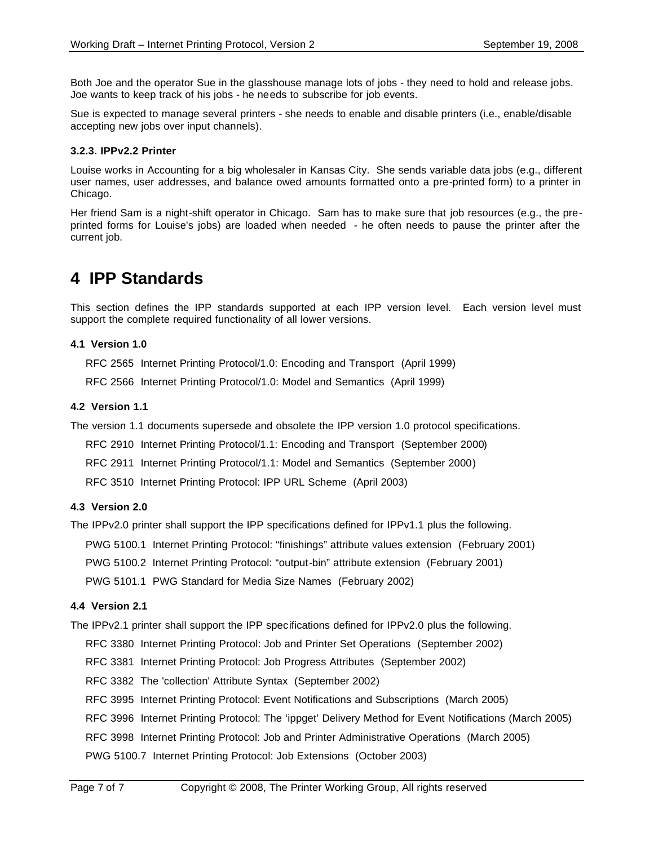Both Joe and the operator Sue in the glasshouse manage lots of jobs - they need to hold and release jobs. Joe wants to keep track of his jobs - he needs to subscribe for job events.

Sue is expected to manage several printers - she needs to enable and disable printers (i.e., enable/disable accepting new jobs over input channels).

#### **3.2.3. IPPv2.2 Printer**

Louise works in Accounting for a big wholesaler in Kansas City. She sends variable data jobs (e.g., different user names, user addresses, and balance owed amounts formatted onto a pre-printed form) to a printer in Chicago.

Her friend Sam is a night-shift operator in Chicago. Sam has to make sure that job resources (e.g., the preprinted forms for Louise's jobs) are loaded when needed - he often needs to pause the printer after the current job.

# **4 IPP Standards**

This section defines the IPP standards supported at each IPP version level. Each version level must support the complete required functionality of all lower versions.

#### **4.1 Version 1.0**

RFC 2565 Internet Printing Protocol/1.0: Encoding and Transport (April 1999)

RFC 2566 Internet Printing Protocol/1.0: Model and Semantics (April 1999)

#### **4.2 Version 1.1**

The version 1.1 documents supersede and obsolete the IPP version 1.0 protocol specifications.

RFC 2910 Internet Printing Protocol/1.1: Encoding and Transport (September 2000)

RFC 2911 Internet Printing Protocol/1.1: Model and Semantics (September 2000)

RFC 3510 Internet Printing Protocol: IPP URL Scheme (April 2003)

#### **4.3 Version 2.0**

The IPPv2.0 printer shall support the IPP specifications defined for IPPv1.1 plus the following.

PWG 5100.1 Internet Printing Protocol: "finishings" attribute values extension (February 2001)

PWG 5100.2 Internet Printing Protocol: "output-bin" attribute extension (February 2001)

PWG 5101.1 PWG Standard for Media Size Names (February 2002)

#### **4.4 Version 2.1**

The IPPv2.1 printer shall support the IPP specifications defined for IPPv2.0 plus the following.

RFC 3380 Internet Printing Protocol: Job and Printer Set Operations (September 2002)

RFC 3381 Internet Printing Protocol: Job Progress Attributes (September 2002)

RFC 3382 The 'collection' Attribute Syntax (September 2002)

RFC 3995 Internet Printing Protocol: Event Notifications and Subscriptions (March 2005)

RFC 3996 Internet Printing Protocol: The 'ippget' Delivery Method for Event Notifications (March 2005)

RFC 3998 Internet Printing Protocol: Job and Printer Administrative Operations (March 2005)

PWG 5100.7 Internet Printing Protocol: Job Extensions (October 2003)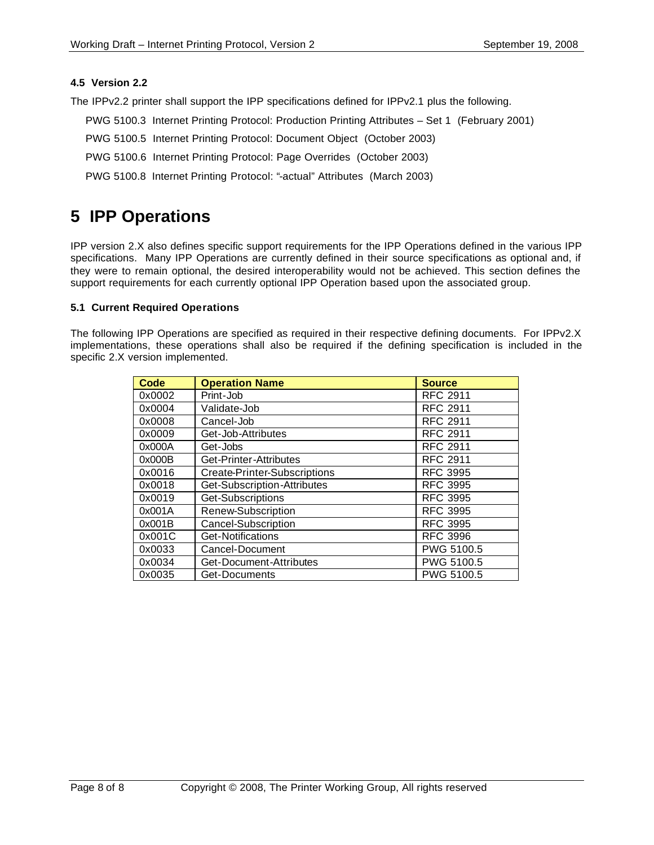### **4.5 Version 2.2**

The IPPv2.2 printer shall support the IPP specifications defined for IPPv2.1 plus the following.

- PWG 5100.3 Internet Printing Protocol: Production Printing Attributes Set 1 (February 2001)
- PWG 5100.5 Internet Printing Protocol: Document Object (October 2003)
- PWG 5100.6 Internet Printing Protocol: Page Overrides (October 2003)
- PWG 5100.8 Internet Printing Protocol: "-actual" Attributes (March 2003)

# **5 IPP Operations**

IPP version 2.X also defines specific support requirements for the IPP Operations defined in the various IPP specifications. Many IPP Operations are currently defined in their source specifications as optional and, if they were to remain optional, the desired interoperability would not be achieved. This section defines the support requirements for each currently optional IPP Operation based upon the associated group.

### **5.1 Current Required Operations**

The following IPP Operations are specified as required in their respective defining documents. For IPPv2.X implementations, these operations shall also be required if the defining specification is included in the specific 2.X version implemented.

| <b>Code</b> | <b>Operation Name</b>        | <b>Source</b>   |
|-------------|------------------------------|-----------------|
| 0x0002      | Print-Job                    | <b>RFC 2911</b> |
| 0x0004      | Validate-Job                 | <b>RFC 2911</b> |
| 0x0008      | Cancel-Job                   | <b>RFC 2911</b> |
| 0x0009      | Get-Job-Attributes           | <b>RFC 2911</b> |
| 0x000A      | Get-Jobs                     | <b>RFC 2911</b> |
| 0x000B      | Get-Printer-Attributes       | <b>RFC 2911</b> |
| 0x0016      | Create-Printer-Subscriptions | RFC 3995        |
| 0x0018      | Get-Subscription-Attributes  | <b>RFC 3995</b> |
| 0x0019      | Get-Subscriptions            | <b>RFC 3995</b> |
| 0x001A      | Renew-Subscription           | <b>RFC 3995</b> |
| 0x001B      | Cancel-Subscription          | <b>RFC 3995</b> |
| 0x001C      | Get-Notifications            | <b>RFC 3996</b> |
| 0x0033      | Cancel-Document              | PWG 5100.5      |
| 0x0034      | Get-Document-Attributes      | PWG 5100.5      |
| 0x0035      | Get-Documents                | PWG 5100.5      |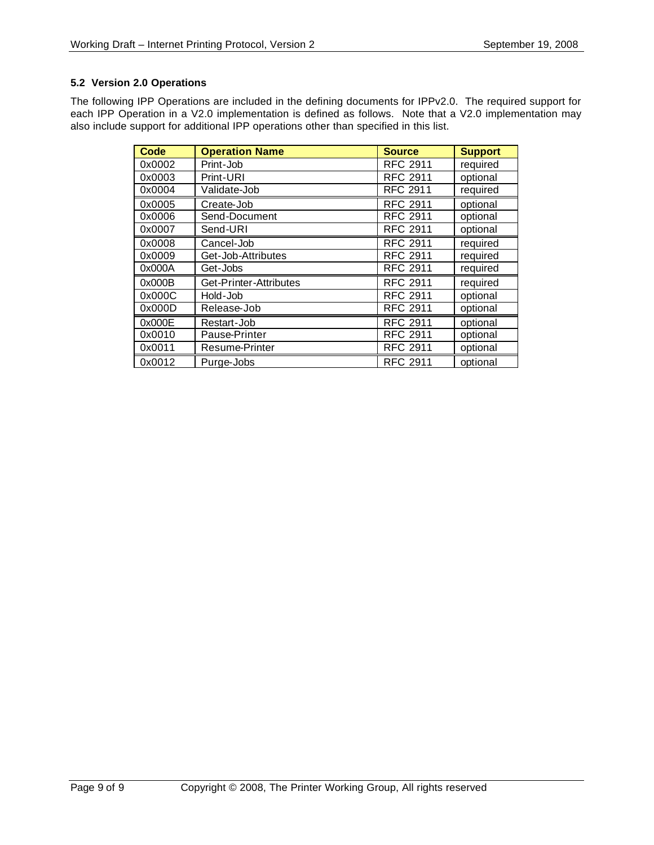## **5.2 Version 2.0 Operations**

The following IPP Operations are included in the defining documents for IPPv2.0. The required support for each IPP Operation in a V2.0 implementation is defined as follows. Note that a V2.0 implementation may also include support for additional IPP operations other than specified in this list.

| <b>Code</b> | <b>Operation Name</b>  | <b>Source</b>   | <b>Support</b> |
|-------------|------------------------|-----------------|----------------|
| 0x0002      | Print-Job              | <b>RFC 2911</b> | required       |
| 0x0003      | Print-URI              | <b>RFC 2911</b> | optional       |
| 0x0004      | Validate-Job           | <b>RFC 2911</b> | required       |
| 0x0005      | Create-Job             | <b>RFC 2911</b> | optional       |
| 0x0006      | Send-Document          | <b>RFC 2911</b> | optional       |
| 0x0007      | Send-URI               | <b>RFC 2911</b> | optional       |
| 0x0008      | Cancel-Job             | <b>RFC 2911</b> | required       |
| 0x0009      | Get-Job-Attributes     | <b>RFC 2911</b> | required       |
| 0x000A      | Get-Jobs               | <b>RFC 2911</b> | required       |
| 0x000B      | Get-Printer-Attributes | <b>RFC 2911</b> | required       |
| 0x000C      | Hold-Job               | <b>RFC 2911</b> | optional       |
| 0x000D      | Release-Job            | <b>RFC 2911</b> | optional       |
| 0x000E      | Restart-Job            | <b>RFC 2911</b> | optional       |
| 0x0010      | Pause-Printer          | <b>RFC 2911</b> | optional       |
| 0x0011      | Resume-Printer         | <b>RFC 2911</b> | optional       |
| 0x0012      | Purge-Jobs             | <b>RFC 2911</b> | optional       |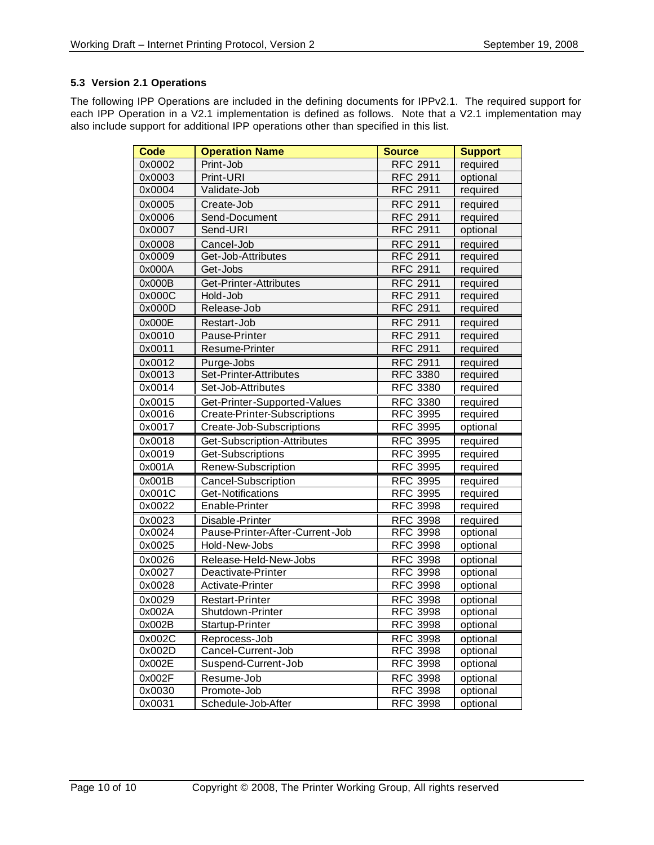# **5.3 Version 2.1 Operations**

The following IPP Operations are included in the defining documents for IPPv2.1. The required support for each IPP Operation in a V2.1 implementation is defined as follows. Note that a V2.1 implementation may also include support for additional IPP operations other than specified in this list.

| <b>Code</b> | <b>Operation Name</b>           | <b>Source</b>   | <b>Support</b> |
|-------------|---------------------------------|-----------------|----------------|
| 0x0002      | Print-Job                       | <b>RFC 2911</b> | required       |
| 0x0003      | Print-URI                       | <b>RFC 2911</b> | optional       |
| 0x0004      | Validate-Job                    | <b>RFC 2911</b> | required       |
| 0x0005      | Create-Job                      | <b>RFC 2911</b> | required       |
| 0x0006      | Send-Document                   | <b>RFC 2911</b> | required       |
| 0x0007      | Send-URI                        | <b>RFC 2911</b> | optional       |
| 0x0008      | Cancel-Job                      | <b>RFC 2911</b> | required       |
| 0x0009      | Get-Job-Attributes              | <b>RFC 2911</b> | required       |
| 0x000A      | Get-Jobs                        | <b>RFC 2911</b> | required       |
| 0x000B      | Get-Printer-Attributes          | <b>RFC 2911</b> | required       |
| 0x000C      | Hold-Job                        | <b>RFC 2911</b> | required       |
| 0x000D      | Release-Job                     | <b>RFC 2911</b> | required       |
| 0x000E      | Restart-Job                     | <b>RFC 2911</b> | required       |
| 0x0010      | Pause-Printer                   | <b>RFC 2911</b> | required       |
| 0x0011      | Resume-Printer                  | <b>RFC 2911</b> | required       |
| 0x0012      | Purge-Jobs                      | <b>RFC 2911</b> | required       |
| 0x0013      | Set-Printer-Attributes          | <b>RFC 3380</b> | required       |
| 0x0014      | Set-Job-Attributes              | <b>RFC 3380</b> | required       |
| 0x0015      | Get-Printer-Supported-Values    | <b>RFC 3380</b> | required       |
| 0x0016      | Create-Printer-Subscriptions    | <b>RFC 3995</b> | required       |
| 0x0017      | Create-Job-Subscriptions        | <b>RFC 3995</b> | optional       |
| 0x0018      | Get-Subscription-Attributes     | <b>RFC 3995</b> | required       |
| 0x0019      | Get-Subscriptions               | <b>RFC 3995</b> | required       |
| 0x001A      | Renew-Subscription              | <b>RFC 3995</b> | required       |
| 0x001B      | <b>Cancel-Subscription</b>      | <b>RFC 3995</b> | required       |
| 0x001C      | Get-Notifications               | <b>RFC 3995</b> | required       |
| 0x0022      | Enable-Printer                  | <b>RFC 3998</b> | required       |
| 0x0023      | Disable-Printer                 | <b>RFC 3998</b> | required       |
| 0x0024      | Pause-Printer-After-Current-Job | <b>RFC 3998</b> | optional       |
| 0x0025      | Hold-New-Jobs                   | <b>RFC 3998</b> | optional       |
| 0x0026      | Release-Held-New-Jobs           | <b>RFC 3998</b> | optional       |
| 0x0027      | Deactivate-Printer              | <b>RFC 3998</b> | optional       |
| 0x0028      | Activate-Printer                | <b>RFC 3998</b> | optional       |
| 0x0029      | <b>Restart-Printer</b>          | <b>RFC 3998</b> | optional       |
| 0x002A      | Shutdown-Printer                | <b>RFC 3998</b> | optional       |
| 0x002B      | Startup-Printer                 | <b>RFC 3998</b> | optional       |
| 0x002C      | Reprocess-Job                   | <b>RFC 3998</b> | optional       |
| 0x002D      | Cancel-Current-Job              | <b>RFC 3998</b> | optional       |
| 0x002E      | Suspend-Current-Job             | <b>RFC 3998</b> | optional       |
| 0x002F      | Resume-Job                      | <b>RFC 3998</b> | optional       |
| 0x0030      | Promote-Job                     | <b>RFC 3998</b> | optional       |
| 0x0031      | Schedule-Job-After              | <b>RFC 3998</b> | optional       |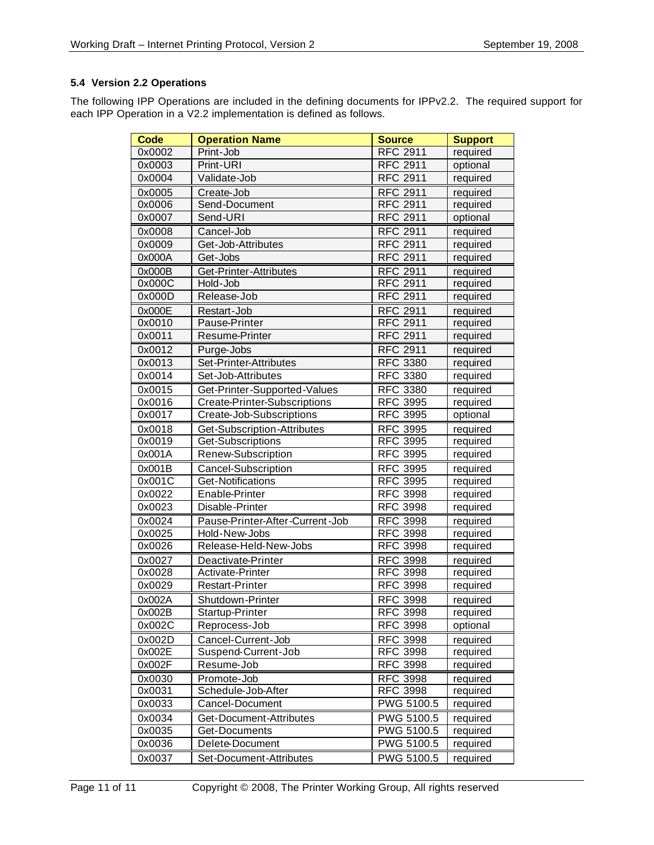# **5.4 Version 2.2 Operations**

The following IPP Operations are included in the defining documents for IPPv2.2. The required support for each IPP Operation in a V2.2 implementation is defined as follows.

| <b>Code</b> | <b>Operation Name</b>           | <b>Source</b>     | <b>Support</b> |
|-------------|---------------------------------|-------------------|----------------|
| 0x0002      | Print-Job                       | <b>RFC 2911</b>   | required       |
| 0x0003      | Print-URI                       | <b>RFC 2911</b>   | optional       |
| 0x0004      | Validate-Job                    | <b>RFC 2911</b>   | required       |
| 0x0005      | Create-Job                      | <b>RFC 2911</b>   | required       |
| 0x0006      | Send-Document                   | <b>RFC 2911</b>   | required       |
| 0x0007      | Send-URI                        | <b>RFC 2911</b>   | optional       |
| 0x0008      | Cancel-Job                      | <b>RFC 2911</b>   | required       |
| 0x0009      | Get-Job-Attributes              | <b>RFC 2911</b>   | required       |
| 0x000A      | Get-Jobs                        | <b>RFC 2911</b>   | required       |
| 0x000B      | Get-Printer-Attributes          | <b>RFC 2911</b>   | required       |
| 0x000C      | Hold-Job                        | <b>RFC 2911</b>   | required       |
| 0x000D      | Release-Job                     | <b>RFC 2911</b>   | required       |
| 0x000E      | Restart-Job                     | <b>RFC 2911</b>   | required       |
| 0x0010      | Pause-Printer                   | <b>RFC 2911</b>   | required       |
| 0x0011      | Resume-Printer                  | <b>RFC 2911</b>   | required       |
| 0x0012      | Purge-Jobs                      | <b>RFC 2911</b>   | required       |
| 0x0013      | Set-Printer-Attributes          | <b>RFC 3380</b>   | required       |
| 0x0014      | Set-Job-Attributes              | <b>RFC 3380</b>   | required       |
| 0x0015      | Get-Printer-Supported-Values    | <b>RFC 3380</b>   | required       |
| 0x0016      | Create-Printer-Subscriptions    | <b>RFC 3995</b>   | required       |
| 0x0017      | Create-Job-Subscriptions        | <b>RFC 3995</b>   | optional       |
| 0x0018      | Get-Subscription-Attributes     | <b>RFC 3995</b>   | required       |
| 0x0019      | Get-Subscriptions               | <b>RFC 3995</b>   | required       |
| 0x001A      | Renew-Subscription              | <b>RFC 3995</b>   | required       |
| 0x001B      | <b>Cancel-Subscription</b>      | <b>RFC 3995</b>   | required       |
| 0x001C      | Get-Notifications               | <b>RFC 3995</b>   | required       |
| 0x0022      | Enable-Printer                  | <b>RFC 3998</b>   | required       |
| 0x0023      | Disable-Printer                 | <b>RFC 3998</b>   | required       |
| 0x0024      | Pause-Printer-After-Current-Job | <b>RFC 3998</b>   | required       |
| 0x0025      | Hold-New-Jobs                   | <b>RFC 3998</b>   | required       |
| 0x0026      | Release-Held-New-Jobs           | <b>RFC 3998</b>   | required       |
| 0x0027      | Deactivate-Printer              | <b>RFC 3998</b>   | required       |
| 0x0028      | Activate-Printer                | <b>RFC 3998</b>   | required       |
| 0x0029      | <b>Restart-Printer</b>          | <b>RFC 3998</b>   | required       |
| 0x002A      | Shutdown-Printer                | <b>RFC 3998</b>   | required       |
| 0x002B      | Startup-Printer                 | RFC 3998          | required       |
| 0x002C      | Reprocess-Job                   | <b>RFC 3998</b>   | optional       |
| 0x002D      | Cancel-Current-Job              | <b>RFC 3998</b>   | required       |
| 0x002E      | Suspend-Current-Job             | <b>RFC 3998</b>   | required       |
| 0x002F      | Resume-Job                      | <b>RFC 3998</b>   | required       |
| 0x0030      | Promote-Job                     | <b>RFC 3998</b>   | required       |
| 0x0031      | Schedule-Job-After              | <b>RFC 3998</b>   | required       |
| 0x0033      | Cancel-Document                 | PWG 5100.5        | required       |
| 0x0034      | Get-Document-Attributes         | PWG 5100.5        | required       |
| 0x0035      | Get-Documents                   | <b>PWG 5100.5</b> | required       |
| 0x0036      | Delete-Document                 | PWG 5100.5        | required       |
| 0x0037      | Set-Document-Attributes         | PWG 5100.5        | required       |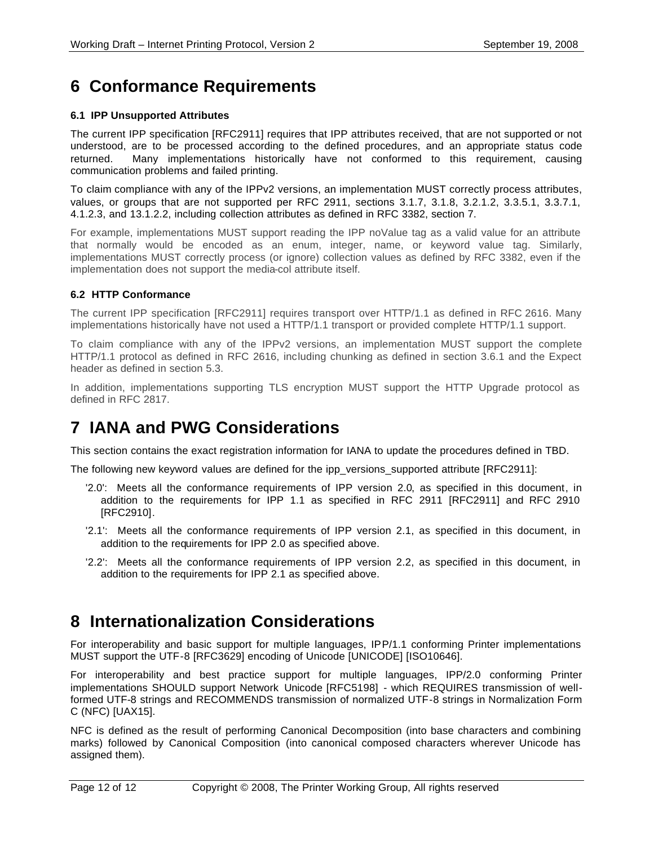# **6 Conformance Requirements**

# **6.1 IPP Unsupported Attributes**

The current IPP specification [RFC2911] requires that IPP attributes received, that are not supported or not understood, are to be processed according to the defined procedures, and an appropriate status code returned. Many implementations historically have not conformed to this requirement, causing communication problems and failed printing.

To claim compliance with any of the IPPv2 versions, an implementation MUST correctly process attributes, values, or groups that are not supported per RFC 2911, sections 3.1.7, 3.1.8, 3.2.1.2, 3.3.5.1, 3.3.7.1, 4.1.2.3, and 13.1.2.2, including collection attributes as defined in RFC 3382, section 7.

For example, implementations MUST support reading the IPP noValue tag as a valid value for an attribute that normally would be encoded as an enum, integer, name, or keyword value tag. Similarly, implementations MUST correctly process (or ignore) collection values as defined by RFC 3382, even if the implementation does not support the media-col attribute itself.

## **6.2 HTTP Conformance**

The current IPP specification [RFC2911] requires transport over HTTP/1.1 as defined in RFC 2616. Many implementations historically have not used a HTTP/1.1 transport or provided complete HTTP/1.1 support.

To claim compliance with any of the IPPv2 versions, an implementation MUST support the complete HTTP/1.1 protocol as defined in RFC 2616, including chunking as defined in section 3.6.1 and the Expect header as defined in section 5.3.

In addition, implementations supporting TLS encryption MUST support the HTTP Upgrade protocol as defined in RFC 2817.

# **7 IANA and PWG Considerations**

This section contains the exact registration information for IANA to update the procedures defined in TBD.

The following new keyword values are defined for the ipp\_versions\_supported attribute [RFC2911]:

- '2.0': Meets all the conformance requirements of IPP version 2.0, as specified in this document, in addition to the requirements for IPP 1.1 as specified in RFC 2911 [RFC2911] and RFC 2910 [RFC2910].
- '2.1': Meets all the conformance requirements of IPP version 2.1, as specified in this document, in addition to the requirements for IPP 2.0 as specified above.
- '2.2': Meets all the conformance requirements of IPP version 2.2, as specified in this document, in addition to the requirements for IPP 2.1 as specified above.

# **8 Internationalization Considerations**

For interoperability and basic support for multiple languages, IPP/1.1 conforming Printer implementations MUST support the UTF-8 [RFC3629] encoding of Unicode [UNICODE] [ISO10646].

For interoperability and best practice support for multiple languages, IPP/2.0 conforming Printer implementations SHOULD support Network Unicode [RFC5198] - which REQUIRES transmission of wellformed UTF-8 strings and RECOMMENDS transmission of normalized UTF-8 strings in Normalization Form C (NFC) [UAX15].

NFC is defined as the result of performing Canonical Decomposition (into base characters and combining marks) followed by Canonical Composition (into canonical composed characters wherever Unicode has assigned them).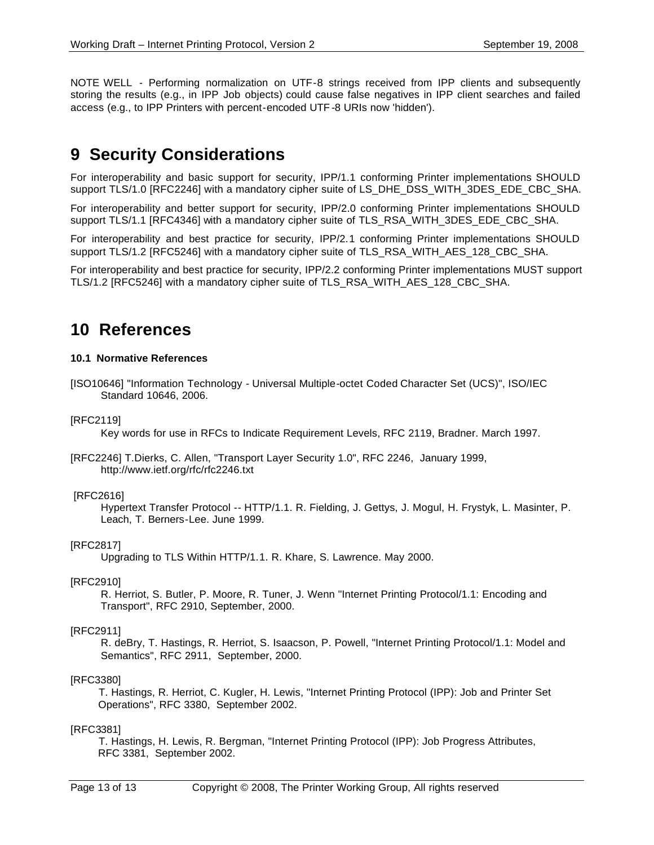NOTE WELL - Performing normalization on UTF-8 strings received from IPP clients and subsequently storing the results (e.g., in IPP Job objects) could cause false negatives in IPP client searches and failed access (e.g., to IPP Printers with percent-encoded UTF -8 URIs now 'hidden').

# **9 Security Considerations**

For interoperability and basic support for security, IPP/1.1 conforming Printer implementations SHOULD support TLS/1.0 [RFC2246] with a mandatory cipher suite of LS\_DHE\_DSS\_WITH\_3DES\_EDE\_CBC\_SHA.

For interoperability and better support for security, IPP/2.0 conforming Printer implementations SHOULD support TLS/1.1 [RFC4346] with a mandatory cipher suite of TLS\_RSA\_WITH\_3DES\_EDE\_CBC\_SHA.

For interoperability and best practice for security, IPP/2.1 conforming Printer implementations SHOULD support TLS/1.2 [RFC5246] with a mandatory cipher suite of TLS\_RSA\_WITH\_AES\_128\_CBC\_SHA.

For interoperability and best practice for security, IPP/2.2 conforming Printer implementations MUST support TLS/1.2 [RFC5246] with a mandatory cipher suite of TLS\_RSA\_WITH\_AES\_128\_CBC\_SHA.

# **10 References**

#### **10.1 Normative References**

[ISO10646] "Information Technology - Universal Multiple-octet Coded Character Set (UCS)", ISO/IEC Standard 10646, 2006.

[RFC2119]

Key words for use in RFCs to Indicate Requirement Levels, RFC 2119, Bradner. March 1997.

[RFC2246] T.Dierks, C. Allen, "Transport Layer Security 1.0", RFC 2246, January 1999, http://www.ietf.org/rfc/rfc2246.txt

#### [RFC2616]

Hypertext Transfer Protocol -- HTTP/1.1. R. Fielding, J. Gettys, J. Mogul, H. Frystyk, L. Masinter, P. Leach, T. Berners-Lee. June 1999.

### [RFC2817]

Upgrading to TLS Within HTTP/1.1. R. Khare, S. Lawrence. May 2000.

### [RFC2910]

R. Herriot, S. Butler, P. Moore, R. Tuner, J. Wenn "Internet Printing Protocol/1.1: Encoding and Transport", RFC 2910, September, 2000.

#### [RFC2911]

R. deBry, T. Hastings, R. Herriot, S. Isaacson, P. Powell, "Internet Printing Protocol/1.1: Model and Semantics", RFC 2911, September, 2000.

### [RFC3380]

 T. Hastings, R. Herriot, C. Kugler, H. Lewis, "Internet Printing Protocol (IPP): Job and Printer Set Operations", RFC 3380, September 2002.

#### [RFC3381]

 T. Hastings, H. Lewis, R. Bergman, "Internet Printing Protocol (IPP): Job Progress Attributes, RFC 3381, September 2002.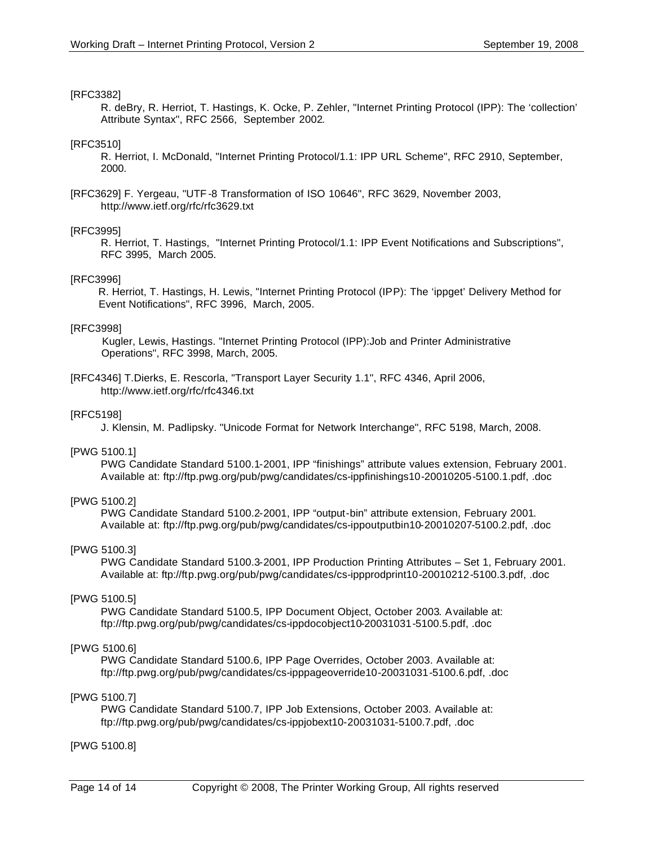#### [RFC3382]

R. deBry, R. Herriot, T. Hastings, K. Ocke, P. Zehler, "Internet Printing Protocol (IPP): The 'collection' Attribute Syntax", RFC 2566, September 2002.

#### [RFC3510]

R. Herriot, I. McDonald, "Internet Printing Protocol/1.1: IPP URL Scheme", RFC 2910, September, 2000.

[RFC3629] F. Yergeau, "UTF -8 Transformation of ISO 10646", RFC 3629, November 2003, http://www.ietf.org/rfc/rfc3629.txt

#### [RFC3995]

R. Herriot, T. Hastings, "Internet Printing Protocol/1.1: IPP Event Notifications and Subscriptions", RFC 3995, March 2005.

#### [RFC3996]

 R. Herriot, T. Hastings, H. Lewis, "Internet Printing Protocol (IPP): The 'ippget' Delivery Method for Event Notifications", RFC 3996, March, 2005.

#### [RFC3998]

 Kugler, Lewis, Hastings. "Internet Printing Protocol (IPP):Job and Printer Administrative Operations", RFC 3998, March, 2005.

[RFC4346] T.Dierks, E. Rescorla, "Transport Layer Security 1.1", RFC 4346, April 2006, http://www.ietf.org/rfc/rfc4346.txt

#### [RFC5198]

J. Klensin, M. Padlipsky. "Unicode Format for Network Interchange", RFC 5198, March, 2008.

#### [PWG 5100.1]

PWG Candidate Standard 5100.1-2001, IPP "finishings" attribute values extension, February 2001. Available at: ftp://ftp.pwg.org/pub/pwg/candidates/cs-ippfinishings10-20010205-5100.1.pdf, .doc

### [PWG 5100.2]

PWG Candidate Standard 5100.2-2001, IPP "output-bin" attribute extension, February 2001. Available at: ftp://ftp.pwg.org/pub/pwg/candidates/cs-ippoutputbin10-20010207-5100.2.pdf, .doc

### [PWG 5100.3]

PWG Candidate Standard 5100.3-2001, IPP Production Printing Attributes – Set 1, February 2001. Available at: ftp://ftp.pwg.org/pub/pwg/candidates/cs-ippprodprint10-20010212-5100.3.pdf, .doc

#### [PWG 5100.5]

PWG Candidate Standard 5100.5, IPP Document Object, October 2003. Available at: ftp://ftp.pwg.org/pub/pwg/candidates/cs-ippdocobject10-20031031-5100.5.pdf, .doc

#### [PWG 5100.6]

PWG Candidate Standard 5100.6, IPP Page Overrides, October 2003. Available at: ftp://ftp.pwg.org/pub/pwg/candidates/cs-ipppageoverride10-20031031-5100.6.pdf, .doc

#### [PWG 5100.7]

PWG Candidate Standard 5100.7, IPP Job Extensions, October 2003. Available at: ftp://ftp.pwg.org/pub/pwg/candidates/cs-ippjobext10-20031031-5100.7.pdf, .doc

#### [PWG 5100.8]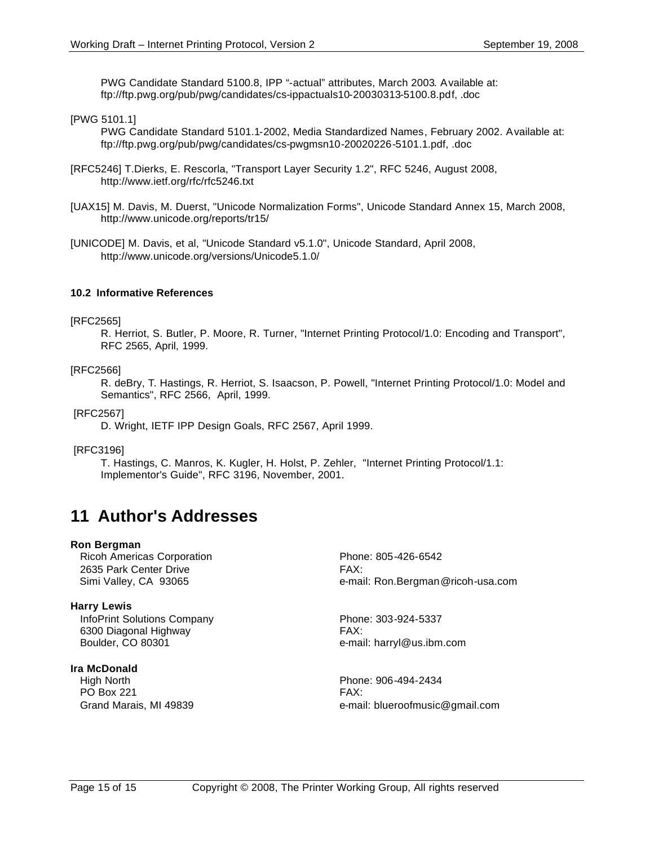PWG Candidate Standard 5100.8, IPP "-actual" attributes, March 2003. Available at: ftp://ftp.pwg.org/pub/pwg/candidates/cs-ippactuals10-20030313-5100.8.pdf, .doc

[PWG 5101.1]

PWG Candidate Standard 5101.1-2002, Media Standardized Names, February 2002. Available at: ftp://ftp.pwg.org/pub/pwg/candidates/cs-pwgmsn10-20020226-5101.1.pdf, .doc

[RFC5246] T.Dierks, E. Rescorla, "Transport Layer Security 1.2", RFC 5246, August 2008, http://www.ietf.org/rfc/rfc5246.txt

- [UAX15] M. Davis, M. Duerst, "Unicode Normalization Forms", Unicode Standard Annex 15, March 2008, http://www.unicode.org/reports/tr15/
- [UNICODE] M. Davis, et al, "Unicode Standard v5.1.0", Unicode Standard, April 2008, http://www.unicode.org/versions/Unicode5.1.0/

#### **10.2 Informative References**

#### [RFC2565]

R. Herriot, S. Butler, P. Moore, R. Turner, "Internet Printing Protocol/1.0: Encoding and Transport", RFC 2565, April, 1999.

#### [RFC2566]

R. deBry, T. Hastings, R. Herriot, S. Isaacson, P. Powell, "Internet Printing Protocol/1.0: Model and Semantics", RFC 2566, April, 1999.

#### [RFC2567]

D. Wright, IETF IPP Design Goals, RFC 2567, April 1999.

#### [RFC3196]

T. Hastings, C. Manros, K. Kugler, H. Holst, P. Zehler, "Internet Printing Protocol/1.1: Implementor's Guide", RFC 3196, November, 2001.

# **11 Author's Addresses**

#### **Ron Bergman**

Ricoh Americas Corporation **Phone: 805-426-6542** 2635 Park Center Drive **FAX:** 

#### **Harry Lewis**

InfoPrint Solutions Company Phone: 303-924-5337 6300 Diagonal Highway FAX: Boulder, CO 80301 e-mail: harryl@us.ibm.com

### **Ira McDonald**

 High North Phone: 906-494-2434 PO Box 221 FAX:

Simi Valley, CA 93065 **big and Simi Valley, CA 93065** e-mail: Ron.Bergman@ricoh-usa.com

Grand Marais, MI 49839 e-mail: blueroofmusic@gmail.com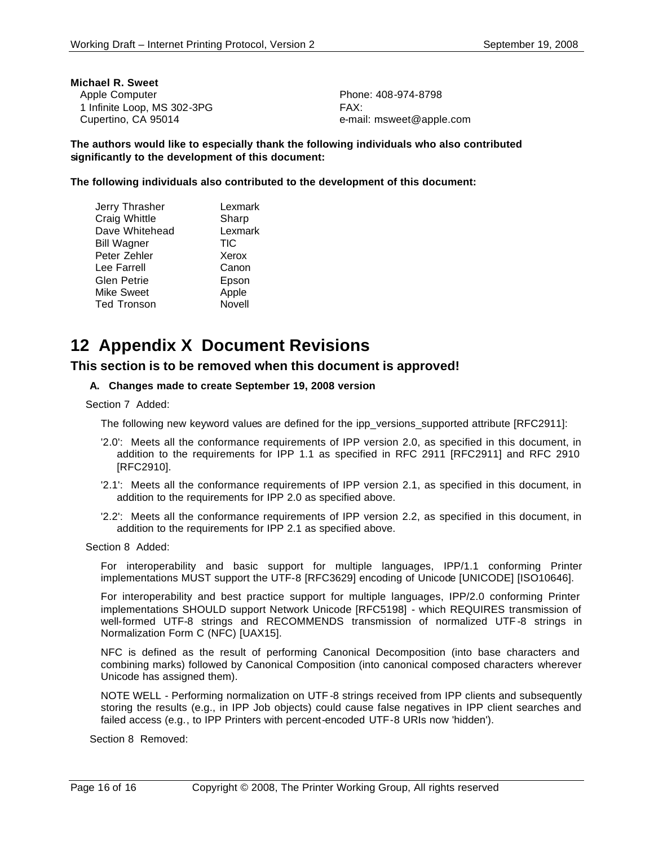| Michael R. Sweet            |              |
|-----------------------------|--------------|
| Apple Computer              | <b>Phone</b> |
| 1 Infinite Loop, MS 302-3PG | FAX:         |
| Cupertino, CA 95014         | e-mai        |

Phone: 408-974-8798 e-mail: msweet@apple.com

**The authors would like to especially thank the following individuals who also contributed significantly to the development of this document:**

**The following individuals also contributed to the development of this document:**

| Jerry Thrasher     | Lexmark    |
|--------------------|------------|
| Craig Whittle      | Sharp      |
| Dave Whitehead     | Lexmark    |
| <b>Bill Wagner</b> | <b>TIC</b> |
| Peter Zehler       | Xerox      |
| Lee Farrell        | Canon      |
| Glen Petrie        | Epson      |
| Mike Sweet         | Apple      |
| <b>Ted Tronson</b> | Novell     |

# **12 Appendix X Document Revisions**

# **This section is to be removed when this document is approved!**

### **A. Changes made to create September 19, 2008 version**

Section 7 Added:

The following new keyword values are defined for the ipp\_versions\_supported attribute [RFC2911]:

- '2.0': Meets all the conformance requirements of IPP version 2.0, as specified in this document, in addition to the requirements for IPP 1.1 as specified in RFC 2911 [RFC2911] and RFC 2910 [RFC2910].
- '2.1': Meets all the conformance requirements of IPP version 2.1, as specified in this document, in addition to the requirements for IPP 2.0 as specified above.
- '2.2': Meets all the conformance requirements of IPP version 2.2, as specified in this document, in addition to the requirements for IPP 2.1 as specified above.

Section 8 Added:

For interoperability and basic support for multiple languages, IPP/1.1 conforming Printer implementations MUST support the UTF-8 [RFC3629] encoding of Unicode [UNICODE] [ISO10646].

For interoperability and best practice support for multiple languages, IPP/2.0 conforming Printer implementations SHOULD support Network Unicode [RFC5198] - which REQUIRES transmission of well-formed UTF-8 strings and RECOMMENDS transmission of normalized UTF -8 strings in Normalization Form C (NFC) [UAX15].

NFC is defined as the result of performing Canonical Decomposition (into base characters and combining marks) followed by Canonical Composition (into canonical composed characters wherever Unicode has assigned them).

NOTE WELL - Performing normalization on UTF -8 strings received from IPP clients and subsequently storing the results (e.g., in IPP Job objects) could cause false negatives in IPP client searches and failed access (e.g., to IPP Printers with percent-encoded UTF-8 URIs now 'hidden').

Section 8 Removed: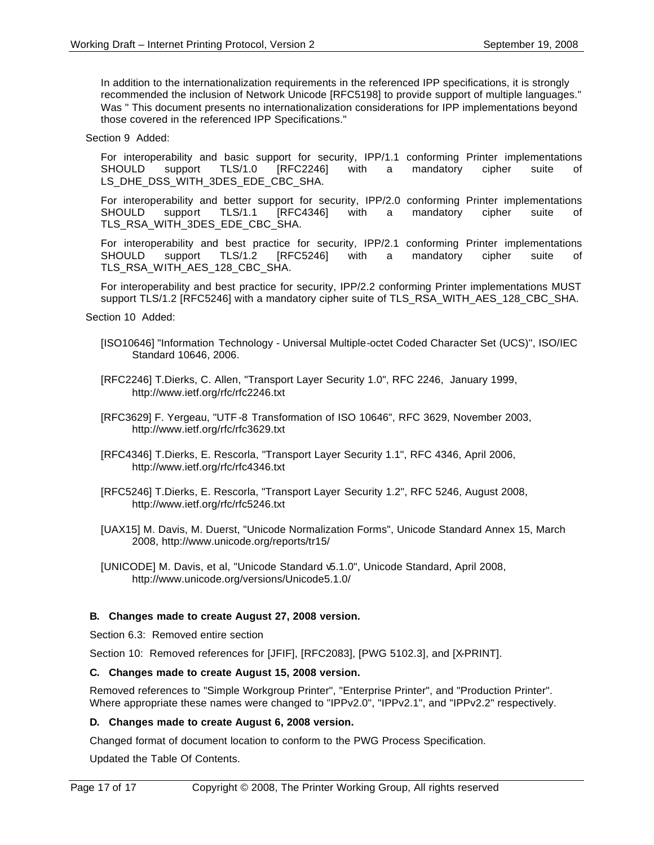In addition to the internationalization requirements in the referenced IPP specifications, it is strongly recommended the inclusion of Network Unicode [RFC5198] to provide support of multiple languages." Was " This document presents no internationalization considerations for IPP implementations beyond those covered in the referenced IPP Specifications."

Section 9 Added:

For interoperability and basic support for security, IPP/1.1 conforming Printer implementations SHOULD support TLS/1.0 [RFC2246] with a mandatory cipher suite of LS\_DHE\_DSS\_WITH\_3DES\_EDE\_CBC\_SHA.

For interoperability and better support for security, IPP/2.0 conforming Printer implementations SHOULD support TLS/1.1 [RFC4346] with a mandatory cipher suite of TLS\_RSA\_WITH\_3DES\_EDE\_CBC\_SHA.

For interoperability and best practice for security, IPP/2.1 conforming Printer implementations SHOULD support TLS/1.2 [RFC5246] with a mandatory cipher suite of TLS\_RSA\_WITH\_AES\_128\_CBC\_SHA.

For interoperability and best practice for security, IPP/2.2 conforming Printer implementations MUST support TLS/1.2 [RFC5246] with a mandatory cipher suite of TLS\_RSA\_WITH\_AES\_128\_CBC\_SHA.

Section 10 Added:

- [ISO10646] "Information Technology Universal Multiple-octet Coded Character Set (UCS)", ISO/IEC Standard 10646, 2006.
- [RFC2246] T.Dierks, C. Allen, "Transport Layer Security 1.0", RFC 2246, January 1999, http://www.ietf.org/rfc/rfc2246.txt
- [RFC3629] F. Yergeau, "UTF -8 Transformation of ISO 10646", RFC 3629, November 2003, http://www.ietf.org/rfc/rfc3629.txt
- [RFC4346] T.Dierks, E. Rescorla, "Transport Layer Security 1.1", RFC 4346, April 2006, http://www.ietf.org/rfc/rfc4346.txt
- [RFC5246] T.Dierks, E. Rescorla, "Transport Layer Security 1.2", RFC 5246, August 2008, http://www.ietf.org/rfc/rfc5246.txt
- [UAX15] M. Davis, M. Duerst, "Unicode Normalization Forms", Unicode Standard Annex 15, March 2008, http://www.unicode.org/reports/tr15/
- [UNICODE] M. Davis, et al, "Unicode Standard v5.1.0", Unicode Standard, April 2008, http://www.unicode.org/versions/Unicode5.1.0/

#### **B. Changes made to create August 27, 2008 version.**

Section 6.3: Removed entire section

Section 10: Removed references for [JFIF], [RFC2083], [PWG 5102.3], and [X-PRINT].

#### **C. Changes made to create August 15, 2008 version.**

Removed references to "Simple Workgroup Printer", "Enterprise Printer", and "Production Printer". Where appropriate these names were changed to "IPPv2.0", "IPPv2.1", and "IPPv2.2" respectively.

#### **D. Changes made to create August 6, 2008 version.**

Changed format of document location to conform to the PWG Process Specification.

Updated the Table Of Contents.